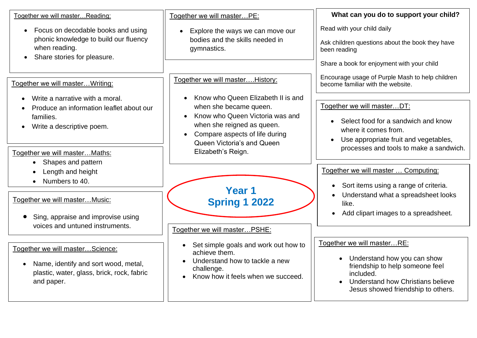| Together we will masterReading:                                                                                                                                        | Together we will masterPE:                                                                                                                                                                    | What can you do to support your child?                                                                                                                                               |
|------------------------------------------------------------------------------------------------------------------------------------------------------------------------|-----------------------------------------------------------------------------------------------------------------------------------------------------------------------------------------------|--------------------------------------------------------------------------------------------------------------------------------------------------------------------------------------|
| Focus on decodable books and using<br>phonic knowledge to build our fluency<br>when reading.<br>Share stories for pleasure.                                            | Explore the ways we can move our<br>$\bullet$<br>bodies and the skills needed in<br>gymnastics.                                                                                               | Read with your child daily<br>Ask children questions about the book they have<br>been reading                                                                                        |
| Together we will master Writing:                                                                                                                                       | Together we will master History:                                                                                                                                                              | Share a book for enjoyment with your child<br>Encourage usage of Purple Mash to help children<br>become familiar with the website.                                                   |
| Write a narrative with a moral.<br>Produce an information leaflet about our<br>families.<br>Write a descriptive poem.<br>$\bullet$                                     | Know who Queen Elizabeth II is and<br>when she became queen.<br>Know who Queen Victoria was and<br>when she reigned as queen.<br>Compare aspects of life during<br>Queen Victoria's and Queen | Together we will masterDT:<br>Select food for a sandwich and know<br>$\bullet$<br>where it comes from.<br>Use appropriate fruit and vegetables,<br>$\bullet$                         |
| Together we will master Maths:<br>Shapes and pattern<br>$\bullet$<br>Length and height<br>$\bullet$                                                                    | Elizabeth's Reign.                                                                                                                                                                            | processes and tools to make a sandwich.<br>Together we will master  Computing:                                                                                                       |
| Numbers to 40.<br>Together we will masterMusic:<br>Sing, appraise and improvise using                                                                                  | Year 1<br><b>Spring 1 2022</b>                                                                                                                                                                | Sort items using a range of criteria.<br>$\bullet$<br>Understand what a spreadsheet looks<br>like.<br>Add clipart images to a spreadsheet.                                           |
| voices and untuned instruments.<br>Together we will masterScience:<br>Name, identify and sort wood, metal,<br>plastic, water, glass, brick, rock, fabric<br>and paper. | Together we will masterPSHE:<br>Set simple goals and work out how to<br>achieve them.<br>Understand how to tackle a new<br>challenge.<br>Know how it feels when we succeed.                   | Together we will masterRE:<br>Understand how you can show<br>friendship to help someone feel<br>included.<br>Understand how Christians believe<br>Jesus showed friendship to others. |